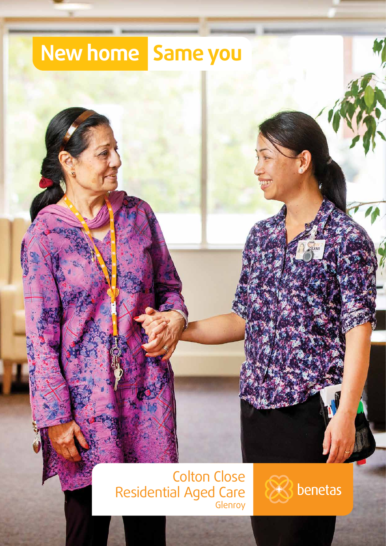#### New home Same you

# **Colton Close**<br>Residential Aged Care

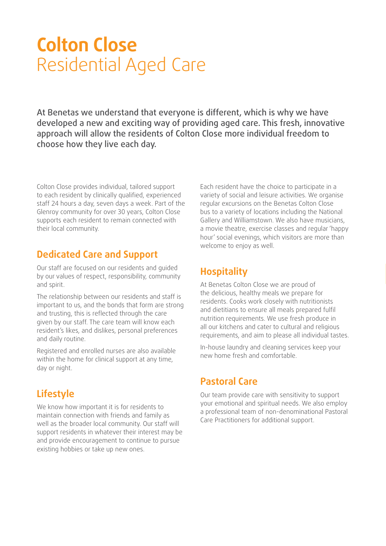## **Colton Close**  Residential Aged Care

At Benetas we understand that everyone is different, which is why we have developed a new and exciting way of providing aged care. This fresh, innovative approach will allow the residents of Colton Close more individual freedom to choose how they live each day.

Colton Close provides individual, tailored support to each resident by clinically qualified, experienced staff 24 hours a day, seven days a week. Part of the Glenroy community for over 30 years, Colton Close supports each resident to remain connected with their local community.

#### **Dedicated Care and Support**

Our staff are focused on our residents and guided by our values of respect, responsibility, community and spirit.

The relationship between our residents and staff is important to us, and the bonds that form are strong and trusting, this is reflected through the care given by our staff. The care team will know each resident's likes, and dislikes, personal preferences and daily routine.

Registered and enrolled nurses are also available within the home for clinical support at any time, day or night.

#### **Lifestyle**

We know how important it is for residents to maintain connection with friends and family as well as the broader local community. Our staff will support residents in whatever their interest may be and provide encouragement to continue to pursue existing hobbies or take up new ones.

Each resident have the choice to participate in a variety of social and leisure activities. We organise regular excursions on the Benetas Colton Close bus to a variety of locations including the National Gallery and Williamstown. We also have musicians, a movie theatre, exercise classes and regular 'happy hour' social evenings, which visitors are more than welcome to enjoy as well.

#### **Hospitality**

At Benetas Colton Close we are proud of the delicious, healthy meals we prepare for residents. Cooks work closely with nutritionists and dietitians to ensure all meals prepared fulfil nutrition requirements. We use fresh produce in all our kitchens and cater to cultural and religious requirements, and aim to please all individual tastes.

In-house laundry and cleaning services keep your new home fresh and comfortable.

#### **Pastoral Care**

Our team provide care with sensitivity to support your emotional and spiritual needs. We also employ a professional team of non-denominational Pastoral Care Practitioners for additional support.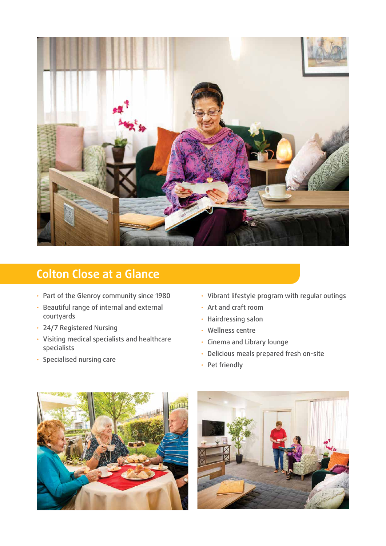

#### **Colton Close at a Glance**

- Part of the Glenroy community since 1980
- Beautiful range of internal and external courtyards
- 24/7 Registered Nursing
- Visiting medical specialists and healthcare specialists
- Specialised nursing care
- Vibrant lifestyle program with regular outings
- Art and craft room
- Hairdressing salon
- Wellness centre
- Cinema and Library lounge
- Delicious meals prepared fresh on-site
- Pet friendly